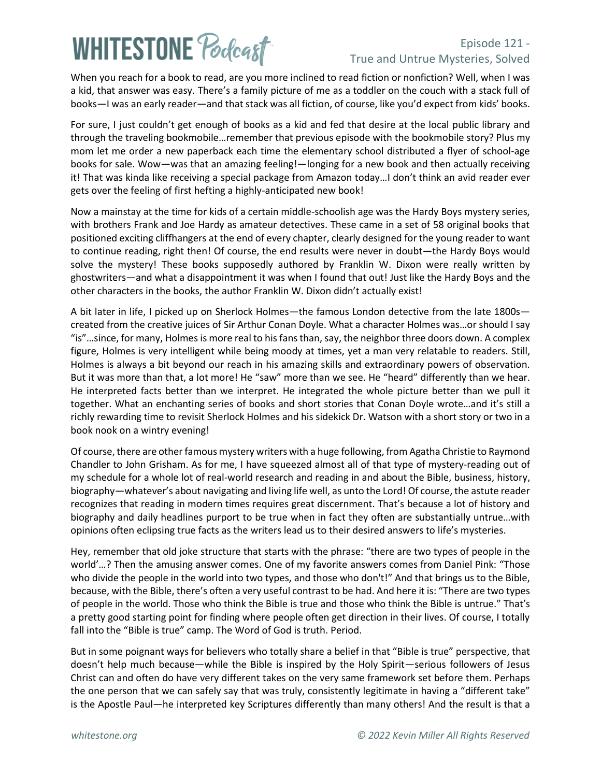# **WHITESTONE Podcast**

### Episode 121 - True and Untrue Mysteries, Solved

When you reach for a book to read, are you more inclined to read fiction or nonfiction? Well, when I was a kid, that answer was easy. There's a family picture of me as a toddler on the couch with a stack full of books—I was an early reader—and that stack was all fiction, of course, like you'd expect from kids' books.

For sure, I just couldn't get enough of books as a kid and fed that desire at the local public library and through the traveling bookmobile…remember that previous episode with the bookmobile story? Plus my mom let me order a new paperback each time the elementary school distributed a flyer of school-age books for sale. Wow—was that an amazing feeling!—longing for a new book and then actually receiving it! That was kinda like receiving a special package from Amazon today…I don't think an avid reader ever gets over the feeling of first hefting a highly-anticipated new book!

Now a mainstay at the time for kids of a certain middle-schoolish age was the Hardy Boys mystery series, with brothers Frank and Joe Hardy as amateur detectives. These came in a set of 58 original books that positioned exciting cliffhangers at the end of every chapter, clearly designed for the young reader to want to continue reading, right then! Of course, the end results were never in doubt—the Hardy Boys would solve the mystery! These books supposedly authored by Franklin W. Dixon were really written by ghostwriters—and what a disappointment it was when I found that out! Just like the Hardy Boys and the other characters in the books, the author Franklin W. Dixon didn't actually exist!

A bit later in life, I picked up on Sherlock Holmes—the famous London detective from the late 1800s created from the creative juices of Sir Arthur Conan Doyle. What a character Holmes was…or should I say "is"…since, for many, Holmes is more real to his fans than, say, the neighbor three doors down. A complex figure, Holmes is very intelligent while being moody at times, yet a man very relatable to readers. Still, Holmes is always a bit beyond our reach in his amazing skills and extraordinary powers of observation. But it was more than that, a lot more! He "saw" more than we see. He "heard" differently than we hear. He interpreted facts better than we interpret. He integrated the whole picture better than we pull it together. What an enchanting series of books and short stories that Conan Doyle wrote…and it's still a richly rewarding time to revisit Sherlock Holmes and his sidekick Dr. Watson with a short story or two in a book nook on a wintry evening!

Of course, there are other famous mystery writers with a huge following, from Agatha Christie to Raymond Chandler to John Grisham. As for me, I have squeezed almost all of that type of mystery-reading out of my schedule for a whole lot of real-world research and reading in and about the Bible, business, history, biography—whatever's about navigating and living life well, as unto the Lord! Of course, the astute reader recognizes that reading in modern times requires great discernment. That's because a lot of history and biography and daily headlines purport to be true when in fact they often are substantially untrue…with opinions often eclipsing true facts as the writers lead us to their desired answers to life's mysteries.

Hey, remember that old joke structure that starts with the phrase: "there are two types of people in the world'…? Then the amusing answer comes. One of my favorite answers comes from Daniel Pink: "Those who divide the people in the world into two types, and those who don't!" And that brings us to the Bible, because, with the Bible, there's often a very useful contrast to be had. And here it is: "There are two types of people in the world. Those who think the Bible is true and those who think the Bible is untrue." That's a pretty good starting point for finding where people often get direction in their lives. Of course, I totally fall into the "Bible is true" camp. The Word of God is truth. Period.

But in some poignant ways for believers who totally share a belief in that "Bible is true" perspective, that doesn't help much because—while the Bible is inspired by the Holy Spirit—serious followers of Jesus Christ can and often do have very different takes on the very same framework set before them. Perhaps the one person that we can safely say that was truly, consistently legitimate in having a "different take" is the Apostle Paul—he interpreted key Scriptures differently than many others! And the result is that a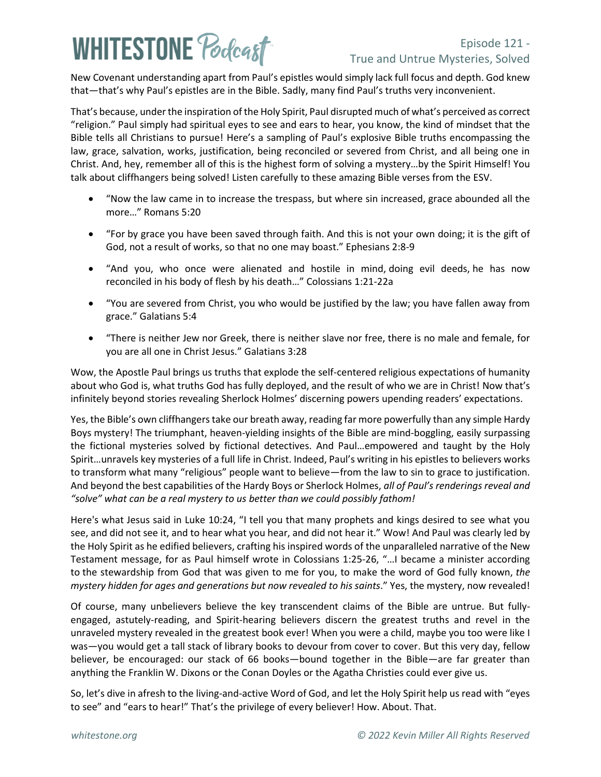## **WHITESTONE Podcast**

### Episode 121 - True and Untrue Mysteries, Solved

New Covenant understanding apart from Paul's epistles would simply lack full focus and depth. God knew that—that's why Paul's epistles are in the Bible. Sadly, many find Paul's truths very inconvenient.

That's because, under the inspiration of the Holy Spirit, Paul disrupted much of what's perceived as correct "religion." Paul simply had spiritual eyes to see and ears to hear, you know, the kind of mindset that the Bible tells all Christians to pursue! Here's a sampling of Paul's explosive Bible truths encompassing the law, grace, salvation, works, justification, being reconciled or severed from Christ, and all being one in Christ. And, hey, remember all of this is the highest form of solving a mystery…by the Spirit Himself! You talk about cliffhangers being solved! Listen carefully to these amazing Bible verses from the ESV.

- "Now the law came in to increase the trespass, but where sin increased, grace abounded all the more…" Romans 5:20
- "For by grace you have been saved through faith. And this is not your own doing; it is the gift of God, not a result of works, so that no one may boast." Ephesians 2:8-9
- "And you, who once were alienated and hostile in mind, doing evil deeds, he has now reconciled in his body of flesh by his death…" Colossians 1:21-22a
- "You are severed from Christ, you who would be justified by the law; you have fallen away from grace." Galatians 5:4
- "There is neither Jew nor Greek, there is neither slave nor free, there is no male and female, for you are all one in Christ Jesus." Galatians 3:28

Wow, the Apostle Paul brings us truths that explode the self-centered religious expectations of humanity about who God is, what truths God has fully deployed, and the result of who we are in Christ! Now that's infinitely beyond stories revealing Sherlock Holmes' discerning powers upending readers' expectations.

Yes, the Bible's own cliffhangers take our breath away, reading far more powerfully than any simple Hardy Boys mystery! The triumphant, heaven-yielding insights of the Bible are mind-boggling, easily surpassing the fictional mysteries solved by fictional detectives. And Paul…empowered and taught by the Holy Spirit…unravels key mysteries of a full life in Christ. Indeed, Paul's writing in his epistles to believers works to transform what many "religious" people want to believe—from the law to sin to grace to justification. And beyond the best capabilities of the Hardy Boys or Sherlock Holmes, *all of Paul's renderings reveal and "solve" what can be a real mystery to us better than we could possibly fathom!*

Here's what Jesus said in Luke 10:24, "I tell you that many prophets and kings desired to see what you see, and did not see it, and to hear what you hear, and did not hear it." Wow! And Paul was clearly led by the Holy Spirit as he edified believers, crafting his inspired words of the unparalleled narrative of the New Testament message, for as Paul himself wrote in Colossians 1:25-26, "…I became a minister according to the stewardship from God that was given to me for you, to make the word of God fully known, *the mystery hidden for ages and generations but now revealed to his saints*." Yes, the mystery, now revealed!

Of course, many unbelievers believe the key transcendent claims of the Bible are untrue. But fullyengaged, astutely-reading, and Spirit-hearing believers discern the greatest truths and revel in the unraveled mystery revealed in the greatest book ever! When you were a child, maybe you too were like I was—you would get a tall stack of library books to devour from cover to cover. But this very day, fellow believer, be encouraged: our stack of 66 books—bound together in the Bible—are far greater than anything the Franklin W. Dixons or the Conan Doyles or the Agatha Christies could ever give us.

So, let's dive in afresh to the living-and-active Word of God, and let the Holy Spirit help us read with "eyes to see" and "ears to hear!" That's the privilege of every believer! How. About. That.